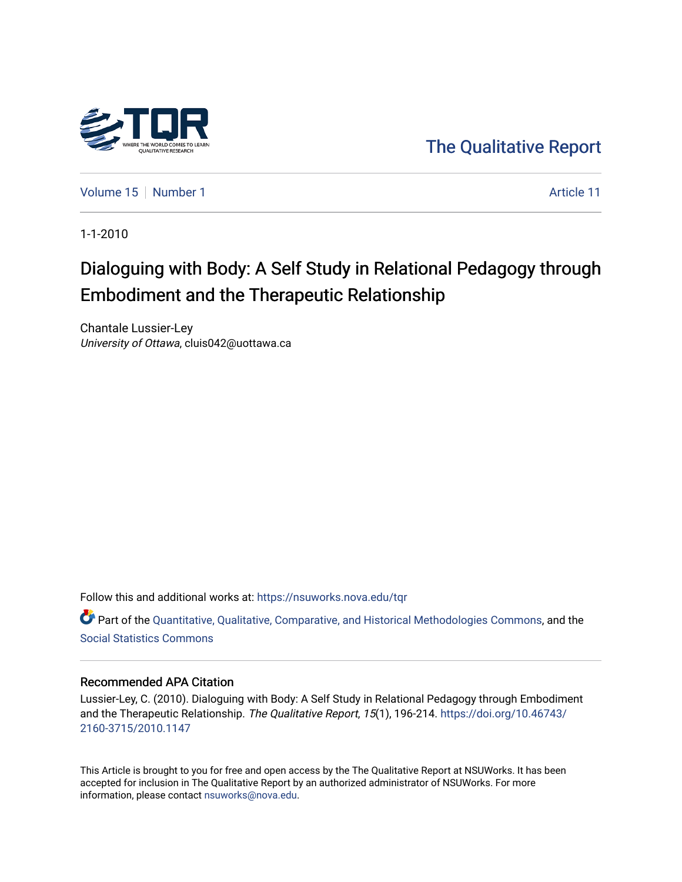

[The Qualitative Report](https://nsuworks.nova.edu/tqr) 

[Volume 15](https://nsuworks.nova.edu/tqr/vol15) [Number 1](https://nsuworks.nova.edu/tqr/vol15/iss1) Article 11

1-1-2010

# Dialoguing with Body: A Self Study in Relational Pedagogy through Embodiment and the Therapeutic Relationship

Chantale Lussier-Ley University of Ottawa, cluis042@uottawa.ca

Follow this and additional works at: [https://nsuworks.nova.edu/tqr](https://nsuworks.nova.edu/tqr?utm_source=nsuworks.nova.edu%2Ftqr%2Fvol15%2Fiss1%2F11&utm_medium=PDF&utm_campaign=PDFCoverPages) 

Part of the [Quantitative, Qualitative, Comparative, and Historical Methodologies Commons,](http://network.bepress.com/hgg/discipline/423?utm_source=nsuworks.nova.edu%2Ftqr%2Fvol15%2Fiss1%2F11&utm_medium=PDF&utm_campaign=PDFCoverPages) and the [Social Statistics Commons](http://network.bepress.com/hgg/discipline/1275?utm_source=nsuworks.nova.edu%2Ftqr%2Fvol15%2Fiss1%2F11&utm_medium=PDF&utm_campaign=PDFCoverPages) 

#### Recommended APA Citation

Lussier-Ley, C. (2010). Dialoguing with Body: A Self Study in Relational Pedagogy through Embodiment and the Therapeutic Relationship. The Qualitative Report, 15(1), 196-214. [https://doi.org/10.46743/](https://doi.org/10.46743/2160-3715/2010.1147) [2160-3715/2010.1147](https://doi.org/10.46743/2160-3715/2010.1147)

This Article is brought to you for free and open access by the The Qualitative Report at NSUWorks. It has been accepted for inclusion in The Qualitative Report by an authorized administrator of NSUWorks. For more information, please contact [nsuworks@nova.edu.](mailto:nsuworks@nova.edu)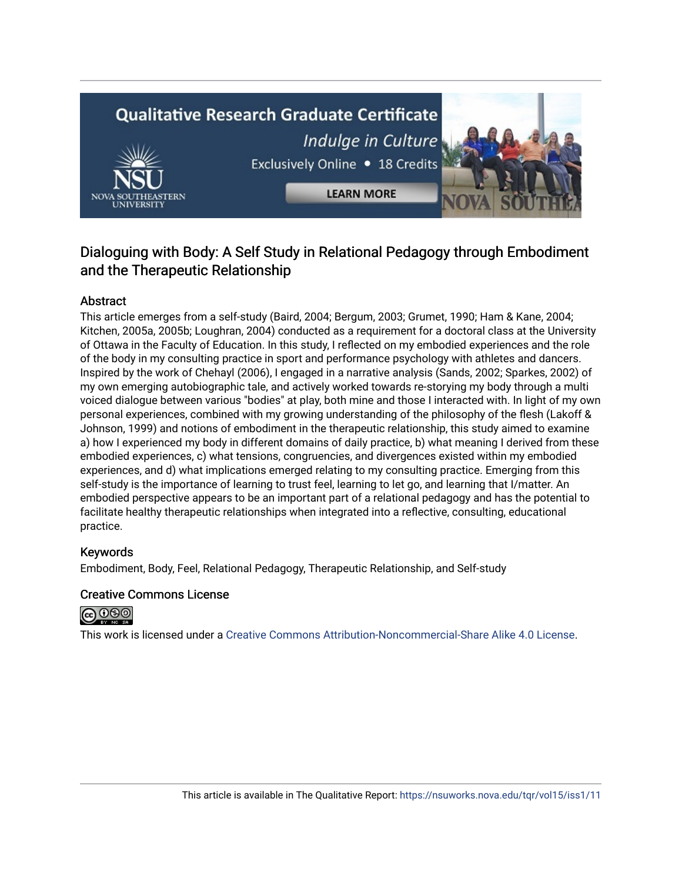# **Qualitative Research Graduate Certificate** Indulge in Culture Exclusively Online . 18 Credits **LEARN MORE**

### Dialoguing with Body: A Self Study in Relational Pedagogy through Embodiment and the Therapeutic Relationship

#### Abstract

This article emerges from a self-study (Baird, 2004; Bergum, 2003; Grumet, 1990; Ham & Kane, 2004; Kitchen, 2005a, 2005b; Loughran, 2004) conducted as a requirement for a doctoral class at the University of Ottawa in the Faculty of Education. In this study, I reflected on my embodied experiences and the role of the body in my consulting practice in sport and performance psychology with athletes and dancers. Inspired by the work of Chehayl (2006), I engaged in a narrative analysis (Sands, 2002; Sparkes, 2002) of my own emerging autobiographic tale, and actively worked towards re-storying my body through a multi voiced dialogue between various "bodies" at play, both mine and those I interacted with. In light of my own personal experiences, combined with my growing understanding of the philosophy of the flesh (Lakoff & Johnson, 1999) and notions of embodiment in the therapeutic relationship, this study aimed to examine a) how I experienced my body in different domains of daily practice, b) what meaning I derived from these embodied experiences, c) what tensions, congruencies, and divergences existed within my embodied experiences, and d) what implications emerged relating to my consulting practice. Emerging from this self-study is the importance of learning to trust feel, learning to let go, and learning that I/matter. An embodied perspective appears to be an important part of a relational pedagogy and has the potential to facilitate healthy therapeutic relationships when integrated into a reflective, consulting, educational practice.

#### Keywords

Embodiment, Body, Feel, Relational Pedagogy, Therapeutic Relationship, and Self-study

#### Creative Commons License



This work is licensed under a [Creative Commons Attribution-Noncommercial-Share Alike 4.0 License](https://creativecommons.org/licenses/by-nc-sa/4.0/).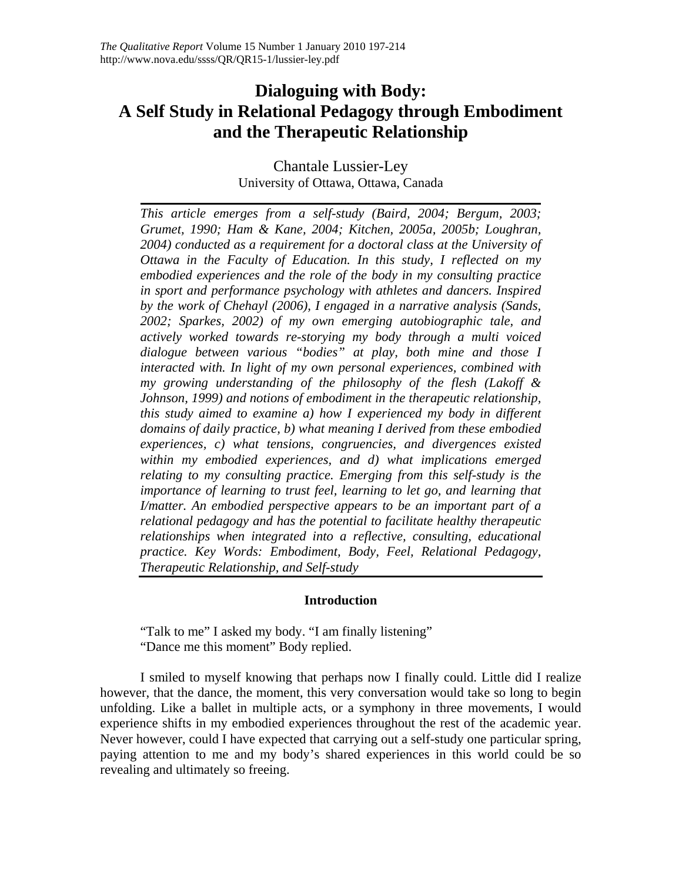## **Dialoguing with Body: A Self Study in Relational Pedagogy through Embodiment and the Therapeutic Relationship**

Chantale Lussier-Ley University of Ottawa, Ottawa, Canada

*This article emerges from a self-study (Baird, 2004; Bergum, 2003; Grumet, 1990; Ham & Kane, 2004; Kitchen, 2005a, 2005b; Loughran, 2004) conducted as a requirement for a doctoral class at the University of Ottawa in the Faculty of Education. In this study, I reflected on my embodied experiences and the role of the body in my consulting practice in sport and performance psychology with athletes and dancers. Inspired by the work of Chehayl (2006), I engaged in a narrative analysis (Sands, 2002; Sparkes, 2002) of my own emerging autobiographic tale, and actively worked towards re-storying my body through a multi voiced dialogue between various "bodies" at play, both mine and those I interacted with. In light of my own personal experiences, combined with my growing understanding of the philosophy of the flesh (Lakoff & Johnson, 1999) and notions of embodiment in the therapeutic relationship, this study aimed to examine a) how I experienced my body in different domains of daily practice, b) what meaning I derived from these embodied experiences, c) what tensions, congruencies, and divergences existed within my embodied experiences, and d) what implications emerged relating to my consulting practice. Emerging from this self-study is the importance of learning to trust feel, learning to let go, and learning that I/matter. An embodied perspective appears to be an important part of a relational pedagogy and has the potential to facilitate healthy therapeutic relationships when integrated into a reflective, consulting, educational practice. Key Words: Embodiment, Body, Feel, Relational Pedagogy, Therapeutic Relationship, and Self-study* 

#### **Introduction**

"Talk to me" I asked my body. "I am finally listening" "Dance me this moment" Body replied.

I smiled to myself knowing that perhaps now I finally could. Little did I realize however, that the dance, the moment, this very conversation would take so long to begin unfolding. Like a ballet in multiple acts, or a symphony in three movements, I would experience shifts in my embodied experiences throughout the rest of the academic year. Never however, could I have expected that carrying out a self-study one particular spring, paying attention to me and my body's shared experiences in this world could be so revealing and ultimately so freeing.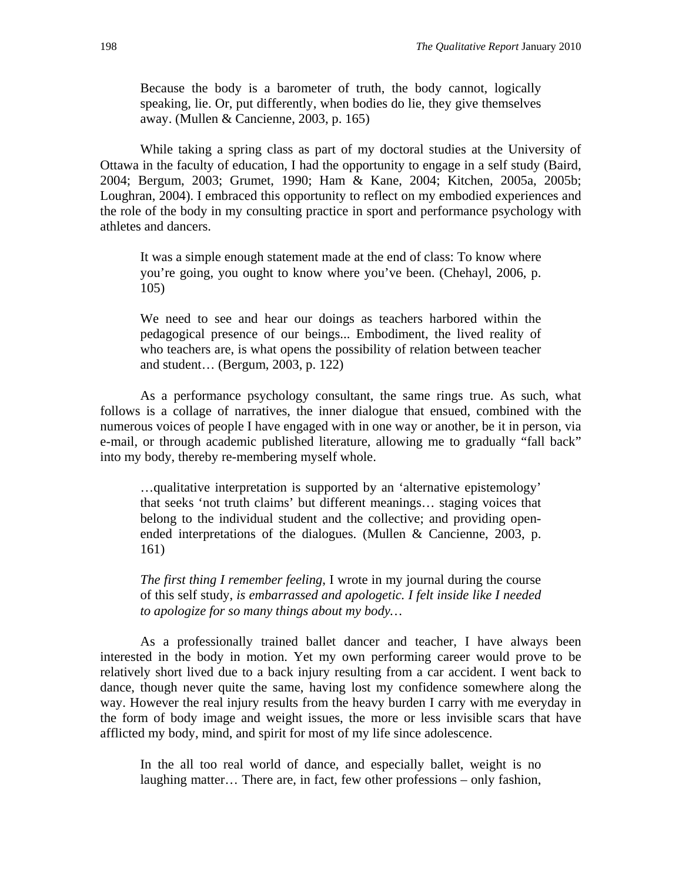Because the body is a barometer of truth, the body cannot, logically speaking, lie. Or, put differently, when bodies do lie, they give themselves away. (Mullen & Cancienne, 2003, p. 165)

 While taking a spring class as part of my doctoral studies at the University of Ottawa in the faculty of education, I had the opportunity to engage in a self study (Baird, 2004; Bergum, 2003; Grumet, 1990; Ham & Kane, 2004; Kitchen, 2005a, 2005b; Loughran, 2004). I embraced this opportunity to reflect on my embodied experiences and the role of the body in my consulting practice in sport and performance psychology with athletes and dancers.

It was a simple enough statement made at the end of class: To know where you're going, you ought to know where you've been. (Chehayl, 2006, p. 105)

We need to see and hear our doings as teachers harbored within the pedagogical presence of our beings... Embodiment, the lived reality of who teachers are, is what opens the possibility of relation between teacher and student… (Bergum, 2003, p. 122)

 As a performance psychology consultant, the same rings true. As such, what follows is a collage of narratives, the inner dialogue that ensued, combined with the numerous voices of people I have engaged with in one way or another, be it in person, via e-mail, or through academic published literature, allowing me to gradually "fall back" into my body, thereby re-membering myself whole.

…qualitative interpretation is supported by an 'alternative epistemology' that seeks 'not truth claims' but different meanings… staging voices that belong to the individual student and the collective; and providing openended interpretations of the dialogues. (Mullen & Cancienne, 2003, p. 161)

*The first thing I remember feeling*, I wrote in my journal during the course of this self study, *is embarrassed and apologetic. I felt inside like I needed to apologize for so many things about my body…* 

 As a professionally trained ballet dancer and teacher, I have always been interested in the body in motion. Yet my own performing career would prove to be relatively short lived due to a back injury resulting from a car accident. I went back to dance, though never quite the same, having lost my confidence somewhere along the way. However the real injury results from the heavy burden I carry with me everyday in the form of body image and weight issues, the more or less invisible scars that have afflicted my body, mind, and spirit for most of my life since adolescence.

In the all too real world of dance, and especially ballet, weight is no laughing matter… There are, in fact, few other professions – only fashion,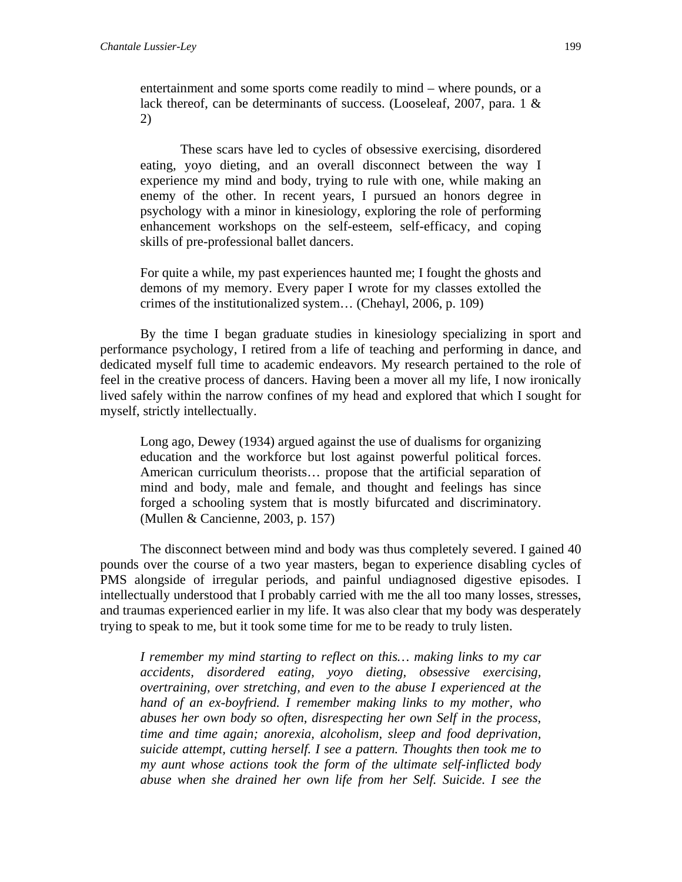entertainment and some sports come readily to mind – where pounds, or a lack thereof, can be determinants of success. (Looseleaf, 2007, para. 1 & 2)

 These scars have led to cycles of obsessive exercising, disordered eating, yoyo dieting, and an overall disconnect between the way I experience my mind and body, trying to rule with one, while making an enemy of the other. In recent years, I pursued an honors degree in psychology with a minor in kinesiology, exploring the role of performing enhancement workshops on the self-esteem, self-efficacy, and coping skills of pre-professional ballet dancers.

For quite a while, my past experiences haunted me; I fought the ghosts and demons of my memory. Every paper I wrote for my classes extolled the crimes of the institutionalized system… (Chehayl, 2006, p. 109)

 By the time I began graduate studies in kinesiology specializing in sport and performance psychology, I retired from a life of teaching and performing in dance, and dedicated myself full time to academic endeavors. My research pertained to the role of feel in the creative process of dancers. Having been a mover all my life, I now ironically lived safely within the narrow confines of my head and explored that which I sought for myself, strictly intellectually.

Long ago, Dewey (1934) argued against the use of dualisms for organizing education and the workforce but lost against powerful political forces. American curriculum theorists… propose that the artificial separation of mind and body, male and female, and thought and feelings has since forged a schooling system that is mostly bifurcated and discriminatory. (Mullen & Cancienne, 2003, p. 157)

 The disconnect between mind and body was thus completely severed. I gained 40 pounds over the course of a two year masters, began to experience disabling cycles of PMS alongside of irregular periods, and painful undiagnosed digestive episodes. I intellectually understood that I probably carried with me the all too many losses, stresses, and traumas experienced earlier in my life. It was also clear that my body was desperately trying to speak to me, but it took some time for me to be ready to truly listen.

*I remember my mind starting to reflect on this… making links to my car accidents, disordered eating, yoyo dieting, obsessive exercising, overtraining, over stretching, and even to the abuse I experienced at the hand of an ex-boyfriend. I remember making links to my mother, who abuses her own body so often, disrespecting her own Self in the process, time and time again; anorexia, alcoholism, sleep and food deprivation, suicide attempt, cutting herself. I see a pattern. Thoughts then took me to my aunt whose actions took the form of the ultimate self-inflicted body abuse when she drained her own life from her Self. Suicide. I see the*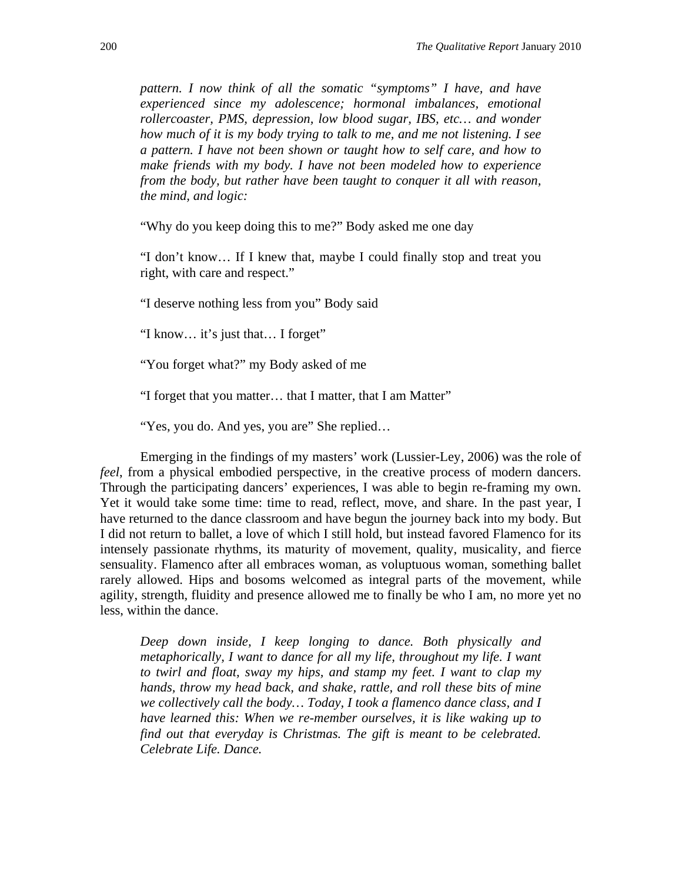*pattern. I now think of all the somatic "symptoms" I have, and have experienced since my adolescence; hormonal imbalances, emotional rollercoaster, PMS, depression, low blood sugar, IBS, etc… and wonder how much of it is my body trying to talk to me, and me not listening. I see a pattern. I have not been shown or taught how to self care, and how to make friends with my body. I have not been modeled how to experience from the body, but rather have been taught to conquer it all with reason, the mind, and logic:* 

"Why do you keep doing this to me?" Body asked me one day

"I don't know… If I knew that, maybe I could finally stop and treat you right, with care and respect."

"I deserve nothing less from you" Body said

"I know… it's just that… I forget"

"You forget what?" my Body asked of me

"I forget that you matter… that I matter, that I am Matter"

"Yes, you do. And yes, you are" She replied…

 Emerging in the findings of my masters' work (Lussier-Ley, 2006) was the role of *feel*, from a physical embodied perspective, in the creative process of modern dancers. Through the participating dancers' experiences, I was able to begin re-framing my own. Yet it would take some time: time to read, reflect, move, and share. In the past year, I have returned to the dance classroom and have begun the journey back into my body. But I did not return to ballet, a love of which I still hold, but instead favored Flamenco for its intensely passionate rhythms, its maturity of movement, quality, musicality, and fierce sensuality. Flamenco after all embraces woman, as voluptuous woman, something ballet rarely allowed. Hips and bosoms welcomed as integral parts of the movement, while agility, strength, fluidity and presence allowed me to finally be who I am, no more yet no less, within the dance.

*Deep down inside, I keep longing to dance. Both physically and metaphorically, I want to dance for all my life, throughout my life. I want to twirl and float, sway my hips, and stamp my feet. I want to clap my hands, throw my head back, and shake, rattle, and roll these bits of mine we collectively call the body… Today, I took a flamenco dance class, and I have learned this: When we re-member ourselves, it is like waking up to find out that everyday is Christmas. The gift is meant to be celebrated. Celebrate Life. Dance.*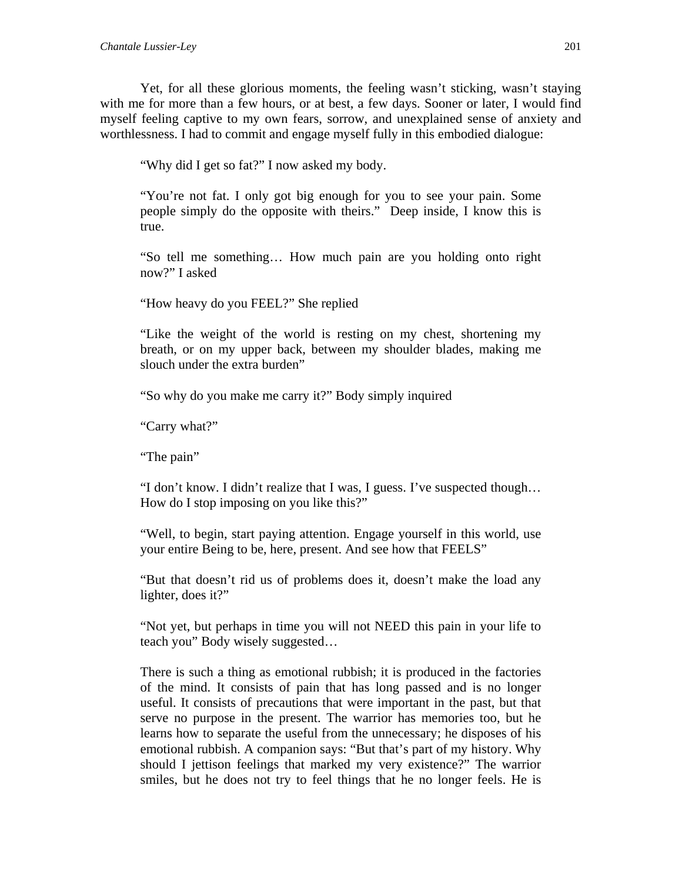Yet, for all these glorious moments, the feeling wasn't sticking, wasn't staying with me for more than a few hours, or at best, a few days. Sooner or later, I would find myself feeling captive to my own fears, sorrow, and unexplained sense of anxiety and worthlessness. I had to commit and engage myself fully in this embodied dialogue:

"Why did I get so fat?" I now asked my body.

"You're not fat. I only got big enough for you to see your pain. Some people simply do the opposite with theirs." Deep inside, I know this is true.

"So tell me something… How much pain are you holding onto right now?" I asked

"How heavy do you FEEL?" She replied

"Like the weight of the world is resting on my chest, shortening my breath, or on my upper back, between my shoulder blades, making me slouch under the extra burden"

"So why do you make me carry it?" Body simply inquired

"Carry what?"

"The pain"

"I don't know. I didn't realize that I was, I guess. I've suspected though… How do I stop imposing on you like this?"

"Well, to begin, start paying attention. Engage yourself in this world, use your entire Being to be, here, present. And see how that FEELS"

"But that doesn't rid us of problems does it, doesn't make the load any lighter, does it?"

"Not yet, but perhaps in time you will not NEED this pain in your life to teach you" Body wisely suggested…

There is such a thing as emotional rubbish; it is produced in the factories of the mind. It consists of pain that has long passed and is no longer useful. It consists of precautions that were important in the past, but that serve no purpose in the present. The warrior has memories too, but he learns how to separate the useful from the unnecessary; he disposes of his emotional rubbish. A companion says: "But that's part of my history. Why should I jettison feelings that marked my very existence?" The warrior smiles, but he does not try to feel things that he no longer feels. He is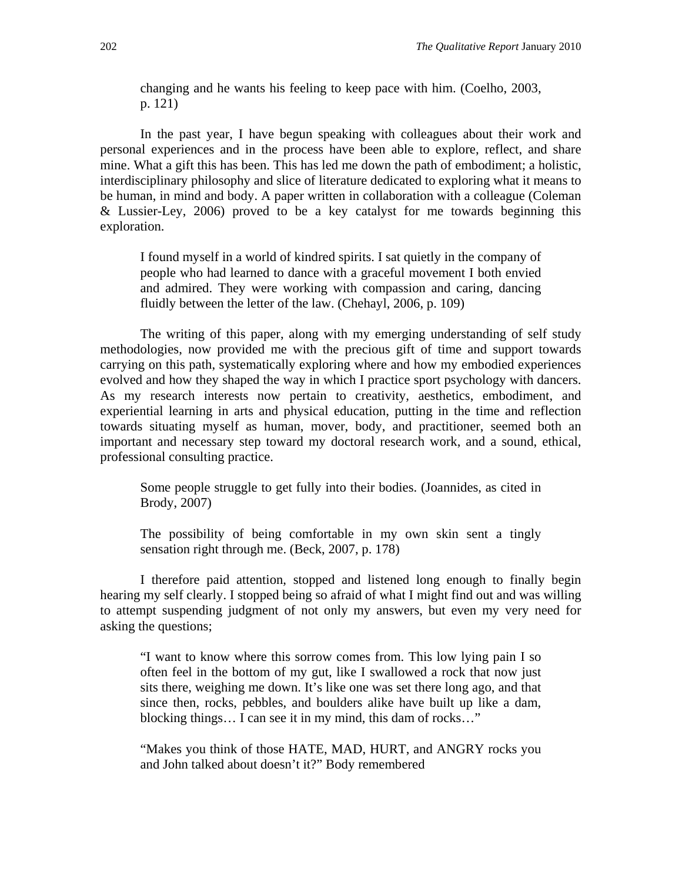changing and he wants his feeling to keep pace with him. (Coelho, 2003, p. 121)

 In the past year, I have begun speaking with colleagues about their work and personal experiences and in the process have been able to explore, reflect, and share mine. What a gift this has been. This has led me down the path of embodiment; a holistic, interdisciplinary philosophy and slice of literature dedicated to exploring what it means to be human, in mind and body. A paper written in collaboration with a colleague (Coleman & Lussier-Ley, 2006) proved to be a key catalyst for me towards beginning this exploration.

I found myself in a world of kindred spirits. I sat quietly in the company of people who had learned to dance with a graceful movement I both envied and admired. They were working with compassion and caring, dancing fluidly between the letter of the law. (Chehayl, 2006, p. 109)

 The writing of this paper, along with my emerging understanding of self study methodologies, now provided me with the precious gift of time and support towards carrying on this path, systematically exploring where and how my embodied experiences evolved and how they shaped the way in which I practice sport psychology with dancers. As my research interests now pertain to creativity, aesthetics, embodiment, and experiential learning in arts and physical education, putting in the time and reflection towards situating myself as human, mover, body, and practitioner, seemed both an important and necessary step toward my doctoral research work, and a sound, ethical, professional consulting practice.

Some people struggle to get fully into their bodies. (Joannides, as cited in Brody, 2007)

The possibility of being comfortable in my own skin sent a tingly sensation right through me. (Beck, 2007, p. 178)

 I therefore paid attention, stopped and listened long enough to finally begin hearing my self clearly. I stopped being so afraid of what I might find out and was willing to attempt suspending judgment of not only my answers, but even my very need for asking the questions;

"I want to know where this sorrow comes from. This low lying pain I so often feel in the bottom of my gut, like I swallowed a rock that now just sits there, weighing me down. It's like one was set there long ago, and that since then, rocks, pebbles, and boulders alike have built up like a dam, blocking things… I can see it in my mind, this dam of rocks…"

"Makes you think of those HATE, MAD, HURT, and ANGRY rocks you and John talked about doesn't it?" Body remembered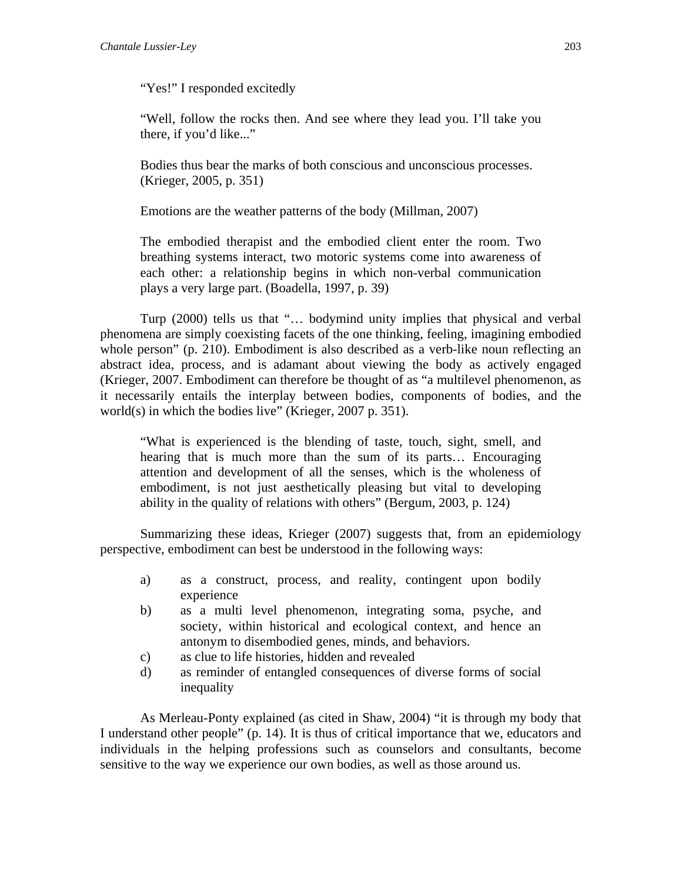"Yes!" I responded excitedly

"Well, follow the rocks then. And see where they lead you. I'll take you there, if you'd like..."

Bodies thus bear the marks of both conscious and unconscious processes. (Krieger, 2005, p. 351)

Emotions are the weather patterns of the body (Millman, 2007)

The embodied therapist and the embodied client enter the room. Two breathing systems interact, two motoric systems come into awareness of each other: a relationship begins in which non-verbal communication plays a very large part. (Boadella, 1997, p. 39)

 Turp (2000) tells us that "… bodymind unity implies that physical and verbal phenomena are simply coexisting facets of the one thinking, feeling, imagining embodied whole person" (p. 210). Embodiment is also described as a verb-like noun reflecting an abstract idea, process, and is adamant about viewing the body as actively engaged (Krieger, 2007. Embodiment can therefore be thought of as "a multilevel phenomenon, as it necessarily entails the interplay between bodies, components of bodies, and the world(s) in which the bodies live" (Krieger, 2007 p. 351).

"What is experienced is the blending of taste, touch, sight, smell, and hearing that is much more than the sum of its parts… Encouraging attention and development of all the senses, which is the wholeness of embodiment, is not just aesthetically pleasing but vital to developing ability in the quality of relations with others" (Bergum, 2003, p. 124)

 Summarizing these ideas, Krieger (2007) suggests that, from an epidemiology perspective, embodiment can best be understood in the following ways:

- a) as a construct, process, and reality, contingent upon bodily experience
- b) as a multi level phenomenon, integrating soma, psyche, and society, within historical and ecological context, and hence an antonym to disembodied genes, minds, and behaviors.
- c) as clue to life histories, hidden and revealed
- d) as reminder of entangled consequences of diverse forms of social inequality

 As Merleau-Ponty explained (as cited in Shaw, 2004) "it is through my body that I understand other people" (p. 14). It is thus of critical importance that we, educators and individuals in the helping professions such as counselors and consultants, become sensitive to the way we experience our own bodies, as well as those around us.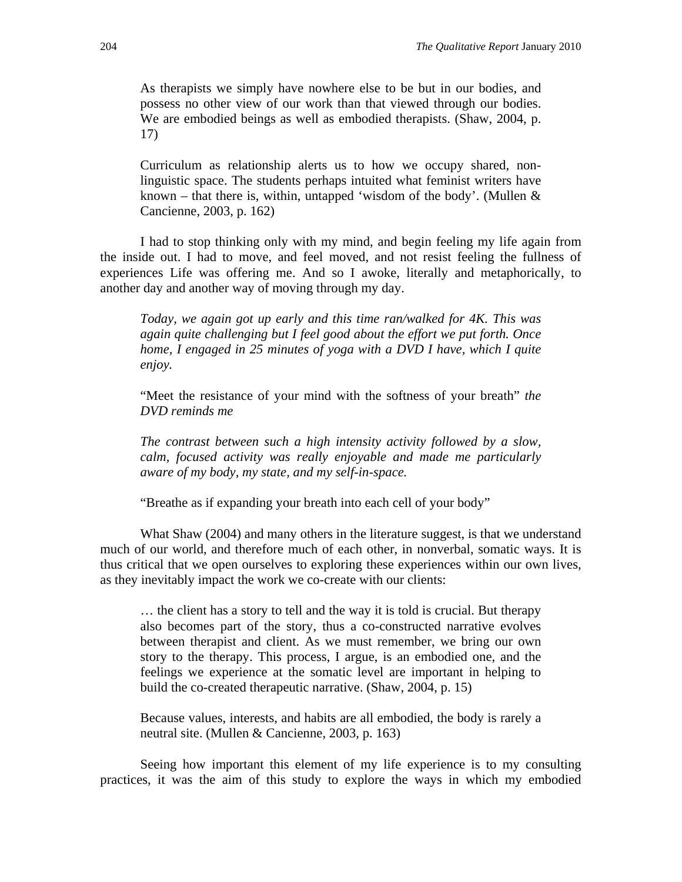As therapists we simply have nowhere else to be but in our bodies, and possess no other view of our work than that viewed through our bodies. We are embodied beings as well as embodied therapists. (Shaw, 2004, p. 17)

Curriculum as relationship alerts us to how we occupy shared, nonlinguistic space. The students perhaps intuited what feminist writers have known – that there is, within, untapped 'wisdom of the body'. (Mullen  $&$ Cancienne, 2003, p. 162)

I had to stop thinking only with my mind, and begin feeling my life again from the inside out. I had to move, and feel moved, and not resist feeling the fullness of experiences Life was offering me. And so I awoke, literally and metaphorically, to another day and another way of moving through my day.

*Today, we again got up early and this time ran/walked for 4K. This was again quite challenging but I feel good about the effort we put forth. Once home, I engaged in 25 minutes of yoga with a DVD I have, which I quite enjoy.* 

"Meet the resistance of your mind with the softness of your breath" *the DVD reminds me* 

*The contrast between such a high intensity activity followed by a slow, calm, focused activity was really enjoyable and made me particularly aware of my body, my state, and my self-in-space.* 

"Breathe as if expanding your breath into each cell of your body"

What Shaw (2004) and many others in the literature suggest, is that we understand much of our world, and therefore much of each other, in nonverbal, somatic ways. It is thus critical that we open ourselves to exploring these experiences within our own lives, as they inevitably impact the work we co-create with our clients:

… the client has a story to tell and the way it is told is crucial. But therapy also becomes part of the story, thus a co-constructed narrative evolves between therapist and client. As we must remember, we bring our own story to the therapy. This process, I argue, is an embodied one, and the feelings we experience at the somatic level are important in helping to build the co-created therapeutic narrative. (Shaw, 2004, p. 15)

Because values, interests, and habits are all embodied, the body is rarely a neutral site. (Mullen & Cancienne, 2003, p. 163)

Seeing how important this element of my life experience is to my consulting practices, it was the aim of this study to explore the ways in which my embodied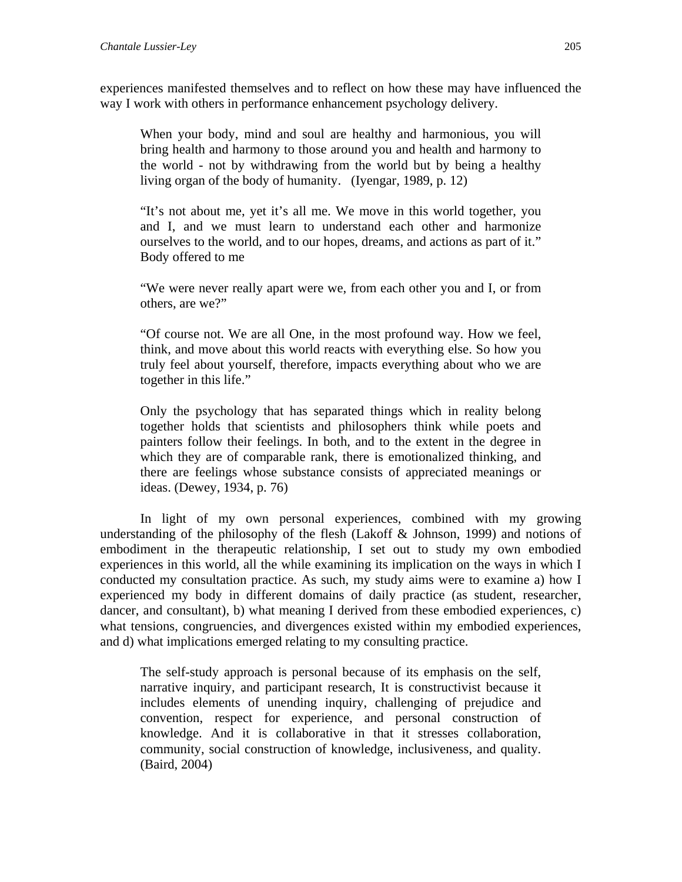experiences manifested themselves and to reflect on how these may have influenced the way I work with others in performance enhancement psychology delivery.

When your body, mind and soul are healthy and harmonious, you will bring health and harmony to those around you and health and harmony to the world - not by withdrawing from the world but by being a healthy living organ of the body of humanity. (Iyengar, 1989, p. 12)

"It's not about me, yet it's all me. We move in this world together, you and I, and we must learn to understand each other and harmonize ourselves to the world, and to our hopes, dreams, and actions as part of it." Body offered to me

"We were never really apart were we, from each other you and I, or from others, are we?"

"Of course not. We are all One, in the most profound way. How we feel, think, and move about this world reacts with everything else. So how you truly feel about yourself, therefore, impacts everything about who we are together in this life."

Only the psychology that has separated things which in reality belong together holds that scientists and philosophers think while poets and painters follow their feelings. In both, and to the extent in the degree in which they are of comparable rank, there is emotionalized thinking, and there are feelings whose substance consists of appreciated meanings or ideas. (Dewey, 1934, p. 76)

In light of my own personal experiences, combined with my growing understanding of the philosophy of the flesh (Lakoff & Johnson, 1999) and notions of embodiment in the therapeutic relationship, I set out to study my own embodied experiences in this world, all the while examining its implication on the ways in which I conducted my consultation practice. As such, my study aims were to examine a) how I experienced my body in different domains of daily practice (as student, researcher, dancer, and consultant), b) what meaning I derived from these embodied experiences, c) what tensions, congruencies, and divergences existed within my embodied experiences, and d) what implications emerged relating to my consulting practice.

The self-study approach is personal because of its emphasis on the self, narrative inquiry, and participant research, It is constructivist because it includes elements of unending inquiry, challenging of prejudice and convention, respect for experience, and personal construction of knowledge. And it is collaborative in that it stresses collaboration, community, social construction of knowledge, inclusiveness, and quality. (Baird, 2004)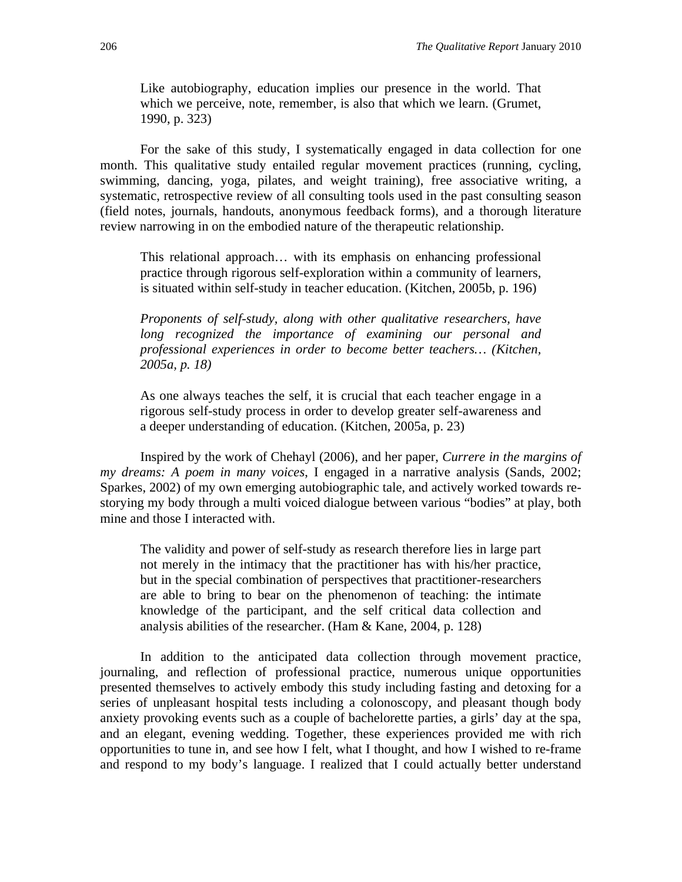Like autobiography, education implies our presence in the world. That which we perceive, note, remember, is also that which we learn. (Grumet, 1990, p. 323)

 For the sake of this study, I systematically engaged in data collection for one month. This qualitative study entailed regular movement practices (running, cycling, swimming, dancing, yoga, pilates, and weight training), free associative writing, a systematic, retrospective review of all consulting tools used in the past consulting season (field notes, journals, handouts, anonymous feedback forms), and a thorough literature review narrowing in on the embodied nature of the therapeutic relationship.

This relational approach… with its emphasis on enhancing professional practice through rigorous self-exploration within a community of learners, is situated within self-study in teacher education. (Kitchen, 2005b, p. 196)

*Proponents of self-study, along with other qualitative researchers, have long recognized the importance of examining our personal and professional experiences in order to become better teachers… (Kitchen, 2005a, p. 18)* 

As one always teaches the self, it is crucial that each teacher engage in a rigorous self-study process in order to develop greater self-awareness and a deeper understanding of education. (Kitchen, 2005a, p. 23)

Inspired by the work of Chehayl (2006), and her paper, *Currere in the margins of my dreams: A poem in many voices*, I engaged in a narrative analysis (Sands, 2002; Sparkes, 2002) of my own emerging autobiographic tale, and actively worked towards restorying my body through a multi voiced dialogue between various "bodies" at play, both mine and those I interacted with.

The validity and power of self-study as research therefore lies in large part not merely in the intimacy that the practitioner has with his/her practice, but in the special combination of perspectives that practitioner-researchers are able to bring to bear on the phenomenon of teaching: the intimate knowledge of the participant, and the self critical data collection and analysis abilities of the researcher. (Ham & Kane, 2004, p. 128)

 In addition to the anticipated data collection through movement practice, journaling, and reflection of professional practice, numerous unique opportunities presented themselves to actively embody this study including fasting and detoxing for a series of unpleasant hospital tests including a colonoscopy, and pleasant though body anxiety provoking events such as a couple of bachelorette parties, a girls' day at the spa, and an elegant, evening wedding. Together, these experiences provided me with rich opportunities to tune in, and see how I felt, what I thought, and how I wished to re-frame and respond to my body's language. I realized that I could actually better understand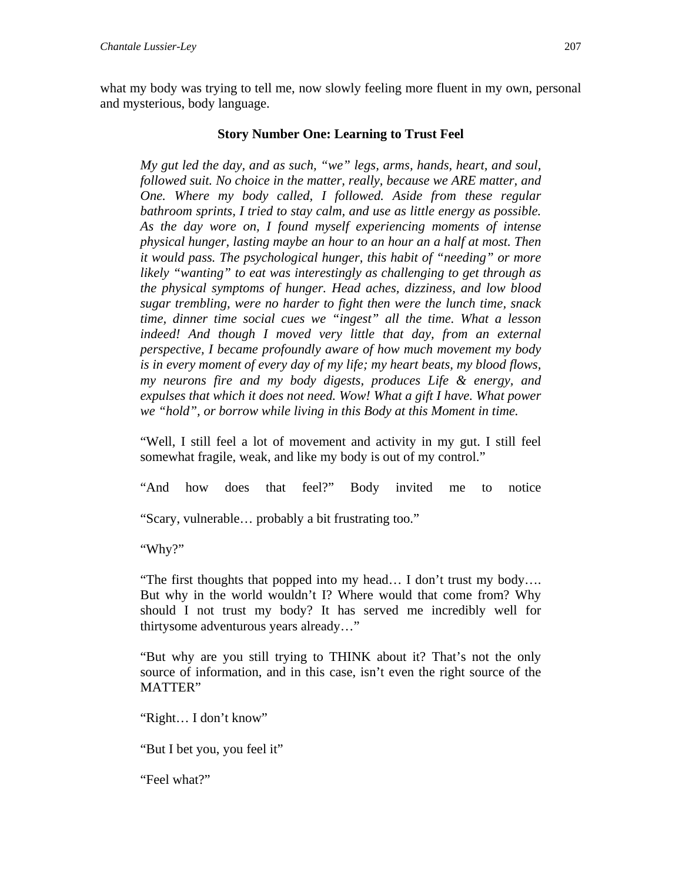what my body was trying to tell me, now slowly feeling more fluent in my own, personal and mysterious, body language.

#### **Story Number One: Learning to Trust Feel**

*My gut led the day, and as such, "we" legs, arms, hands, heart, and soul, followed suit. No choice in the matter, really, because we ARE matter, and One. Where my body called, I followed. Aside from these regular bathroom sprints, I tried to stay calm, and use as little energy as possible. As the day wore on, I found myself experiencing moments of intense physical hunger, lasting maybe an hour to an hour an a half at most. Then it would pass. The psychological hunger, this habit of "needing" or more likely "wanting" to eat was interestingly as challenging to get through as the physical symptoms of hunger. Head aches, dizziness, and low blood sugar trembling, were no harder to fight then were the lunch time, snack time, dinner time social cues we "ingest" all the time. What a lesson indeed! And though I moved very little that day, from an external perspective, I became profoundly aware of how much movement my body is in every moment of every day of my life; my heart beats, my blood flows, my neurons fire and my body digests, produces Life & energy, and expulses that which it does not need. Wow! What a gift I have. What power we "hold", or borrow while living in this Body at this Moment in time.* 

"Well, I still feel a lot of movement and activity in my gut. I still feel somewhat fragile, weak, and like my body is out of my control."

"And how does that feel?" Body invited me to notice

"Scary, vulnerable… probably a bit frustrating too."

"Why?"

"The first thoughts that popped into my head… I don't trust my body…. But why in the world wouldn't I? Where would that come from? Why should I not trust my body? It has served me incredibly well for thirtysome adventurous years already…"

"But why are you still trying to THINK about it? That's not the only source of information, and in this case, isn't even the right source of the MATTER"

"Right… I don't know"

"But I bet you, you feel it"

"Feel what?"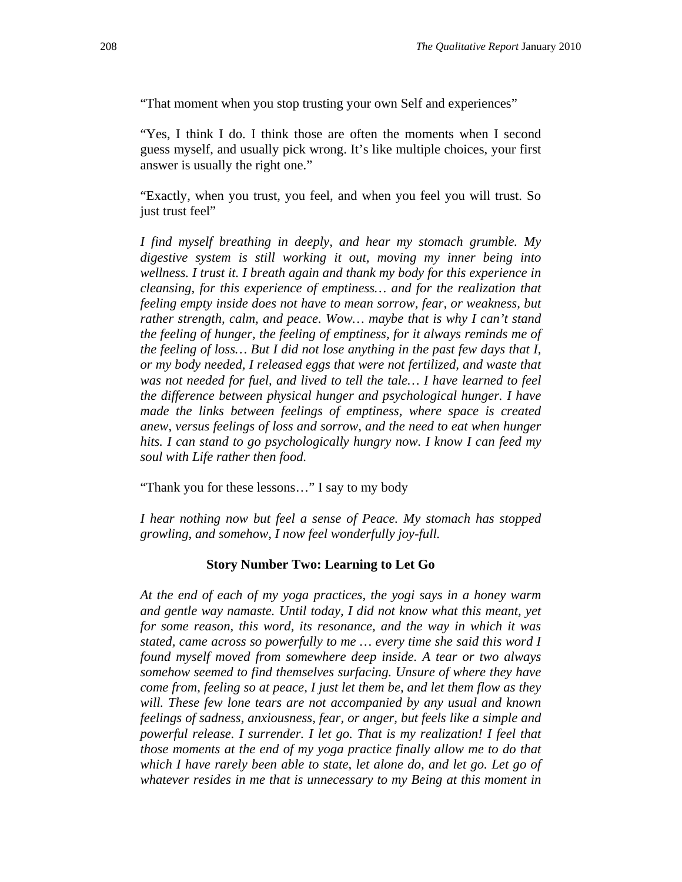"That moment when you stop trusting your own Self and experiences"

"Yes, I think I do. I think those are often the moments when I second guess myself, and usually pick wrong. It's like multiple choices, your first answer is usually the right one."

"Exactly, when you trust, you feel, and when you feel you will trust. So just trust feel"

*I find myself breathing in deeply, and hear my stomach grumble. My digestive system is still working it out, moving my inner being into wellness. I trust it. I breath again and thank my body for this experience in cleansing, for this experience of emptiness… and for the realization that feeling empty inside does not have to mean sorrow, fear, or weakness, but rather strength, calm, and peace. Wow… maybe that is why I can't stand the feeling of hunger, the feeling of emptiness, for it always reminds me of the feeling of loss… But I did not lose anything in the past few days that I, or my body needed, I released eggs that were not fertilized, and waste that*  was not needed for fuel, and lived to tell the tale... I have learned to feel *the difference between physical hunger and psychological hunger. I have made the links between feelings of emptiness, where space is created anew, versus feelings of loss and sorrow, and the need to eat when hunger hits. I can stand to go psychologically hungry now. I know I can feed my soul with Life rather then food.* 

"Thank you for these lessons…" I say to my body

*I hear nothing now but feel a sense of Peace. My stomach has stopped growling, and somehow, I now feel wonderfully joy-full.* 

#### **Story Number Two: Learning to Let Go**

*At the end of each of my yoga practices, the yogi says in a honey warm and gentle way namaste. Until today, I did not know what this meant, yet for some reason, this word, its resonance, and the way in which it was stated, came across so powerfully to me … every time she said this word I found myself moved from somewhere deep inside. A tear or two always somehow seemed to find themselves surfacing. Unsure of where they have come from, feeling so at peace, I just let them be, and let them flow as they will. These few lone tears are not accompanied by any usual and known feelings of sadness, anxiousness, fear, or anger, but feels like a simple and powerful release. I surrender. I let go. That is my realization! I feel that those moments at the end of my yoga practice finally allow me to do that which I have rarely been able to state, let alone do, and let go. Let go of whatever resides in me that is unnecessary to my Being at this moment in*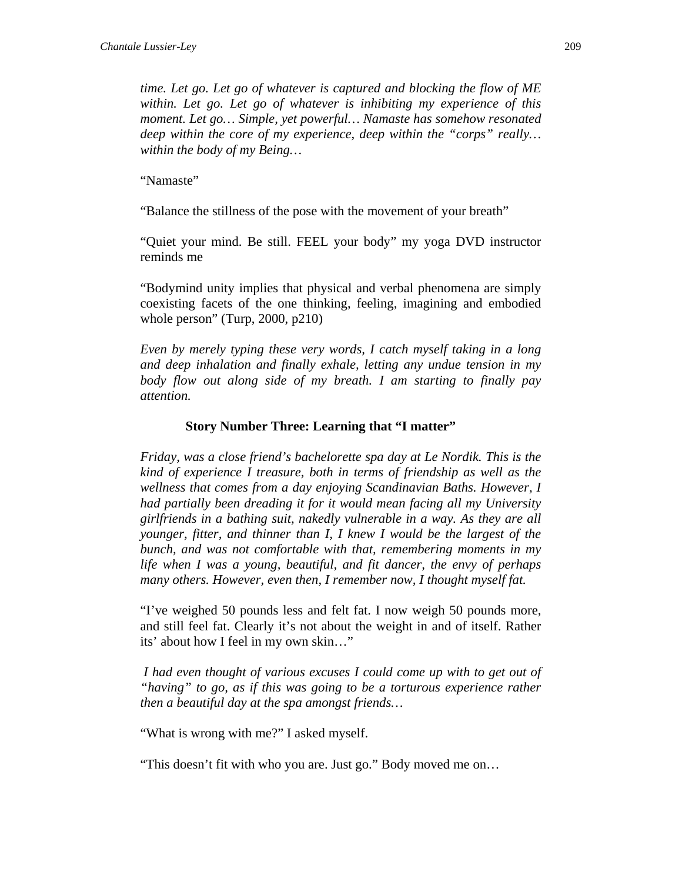*time. Let go. Let go of whatever is captured and blocking the flow of ME within. Let go. Let go of whatever is inhibiting my experience of this moment. Let go… Simple, yet powerful… Namaste has somehow resonated deep within the core of my experience, deep within the "corps" really… within the body of my Being…* 

"Namaste"

"Balance the stillness of the pose with the movement of your breath"

"Quiet your mind. Be still. FEEL your body" my yoga DVD instructor reminds me

"Bodymind unity implies that physical and verbal phenomena are simply coexisting facets of the one thinking, feeling, imagining and embodied whole person" (Turp, 2000, p210)

*Even by merely typing these very words, I catch myself taking in a long and deep inhalation and finally exhale, letting any undue tension in my body flow out along side of my breath. I am starting to finally pay attention.* 

#### **Story Number Three: Learning that "I matter"**

*Friday, was a close friend's bachelorette spa day at Le Nordik. This is the kind of experience I treasure, both in terms of friendship as well as the wellness that comes from a day enjoying Scandinavian Baths. However, I had partially been dreading it for it would mean facing all my University girlfriends in a bathing suit, nakedly vulnerable in a way. As they are all younger, fitter, and thinner than I, I knew I would be the largest of the bunch, and was not comfortable with that, remembering moments in my life when I was a young, beautiful, and fit dancer, the envy of perhaps many others. However, even then, I remember now, I thought myself fat.* 

"I've weighed 50 pounds less and felt fat. I now weigh 50 pounds more, and still feel fat. Clearly it's not about the weight in and of itself. Rather its' about how I feel in my own skin…"

 *I had even thought of various excuses I could come up with to get out of "having" to go, as if this was going to be a torturous experience rather then a beautiful day at the spa amongst friends…* 

"What is wrong with me?" I asked myself.

"This doesn't fit with who you are. Just go." Body moved me on…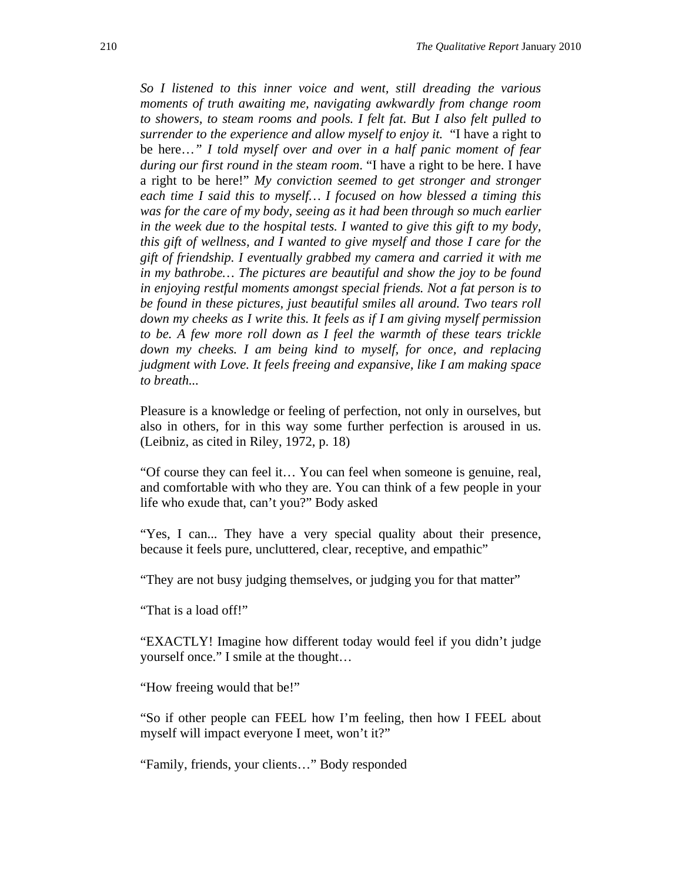*So I listened to this inner voice and went, still dreading the various moments of truth awaiting me, navigating awkwardly from change room to showers, to steam rooms and pools. I felt fat. But I also felt pulled to surrender to the experience and allow myself to enjoy it.* "I have a right to be here…*" I told myself over and over in a half panic moment of fear during our first round in the steam room*. "I have a right to be here. I have a right to be here!" *My conviction seemed to get stronger and stronger each time I said this to myself… I focused on how blessed a timing this was for the care of my body, seeing as it had been through so much earlier in the week due to the hospital tests. I wanted to give this gift to my body, this gift of wellness, and I wanted to give myself and those I care for the gift of friendship. I eventually grabbed my camera and carried it with me in my bathrobe… The pictures are beautiful and show the joy to be found in enjoying restful moments amongst special friends. Not a fat person is to be found in these pictures, just beautiful smiles all around. Two tears roll down my cheeks as I write this. It feels as if I am giving myself permission to be. A few more roll down as I feel the warmth of these tears trickle down my cheeks. I am being kind to myself, for once, and replacing judgment with Love. It feels freeing and expansive, like I am making space to breath...* 

Pleasure is a knowledge or feeling of perfection, not only in ourselves, but also in others, for in this way some further perfection is aroused in us. (Leibniz, as cited in Riley, 1972, p. 18)

"Of course they can feel it… You can feel when someone is genuine, real, and comfortable with who they are. You can think of a few people in your life who exude that, can't you?" Body asked

"Yes, I can... They have a very special quality about their presence, because it feels pure, uncluttered, clear, receptive, and empathic"

"They are not busy judging themselves, or judging you for that matter"

"That is a load off!"

"EXACTLY! Imagine how different today would feel if you didn't judge yourself once." I smile at the thought…

"How freeing would that be!"

"So if other people can FEEL how I'm feeling, then how I FEEL about myself will impact everyone I meet, won't it?"

"Family, friends, your clients…" Body responded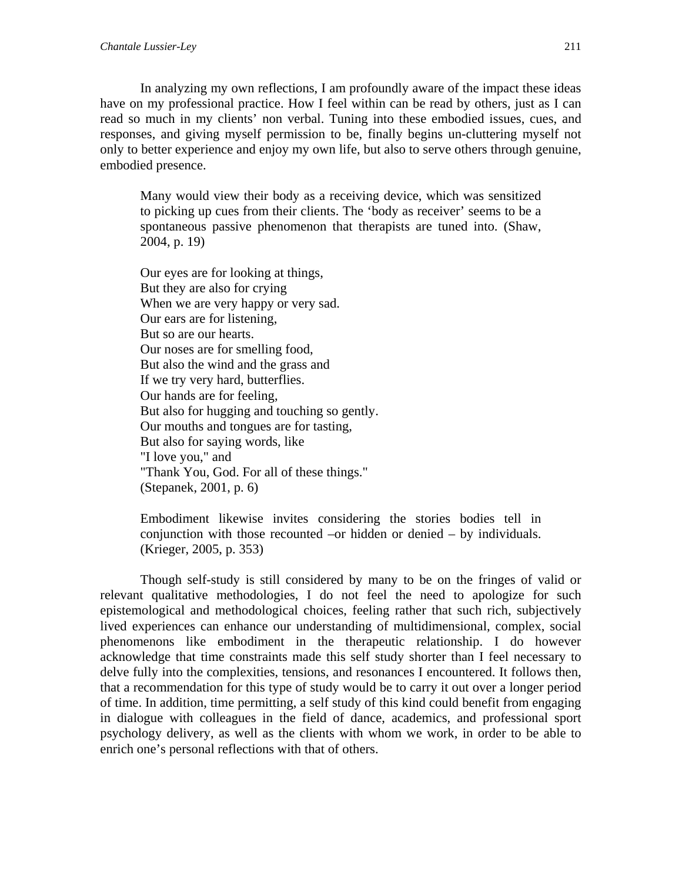In analyzing my own reflections, I am profoundly aware of the impact these ideas have on my professional practice. How I feel within can be read by others, just as I can read so much in my clients' non verbal. Tuning into these embodied issues, cues, and responses, and giving myself permission to be, finally begins un-cluttering myself not only to better experience and enjoy my own life, but also to serve others through genuine, embodied presence.

Many would view their body as a receiving device, which was sensitized to picking up cues from their clients. The 'body as receiver' seems to be a spontaneous passive phenomenon that therapists are tuned into. (Shaw, 2004, p. 19)

Our eyes are for looking at things, But they are also for crying When we are very happy or very sad. Our ears are for listening, But so are our hearts. Our noses are for smelling food, But also the wind and the grass and If we try very hard, butterflies. Our hands are for feeling, But also for hugging and touching so gently. Our mouths and tongues are for tasting, But also for saying words, like "I love you," and "Thank You, God. For all of these things." (Stepanek, 2001, p. 6)

Embodiment likewise invites considering the stories bodies tell in conjunction with those recounted –or hidden or denied – by individuals. (Krieger, 2005, p. 353)

 Though self-study is still considered by many to be on the fringes of valid or relevant qualitative methodologies, I do not feel the need to apologize for such epistemological and methodological choices, feeling rather that such rich, subjectively lived experiences can enhance our understanding of multidimensional, complex, social phenomenons like embodiment in the therapeutic relationship. I do however acknowledge that time constraints made this self study shorter than I feel necessary to delve fully into the complexities, tensions, and resonances I encountered. It follows then, that a recommendation for this type of study would be to carry it out over a longer period of time. In addition, time permitting, a self study of this kind could benefit from engaging in dialogue with colleagues in the field of dance, academics, and professional sport psychology delivery, as well as the clients with whom we work, in order to be able to enrich one's personal reflections with that of others.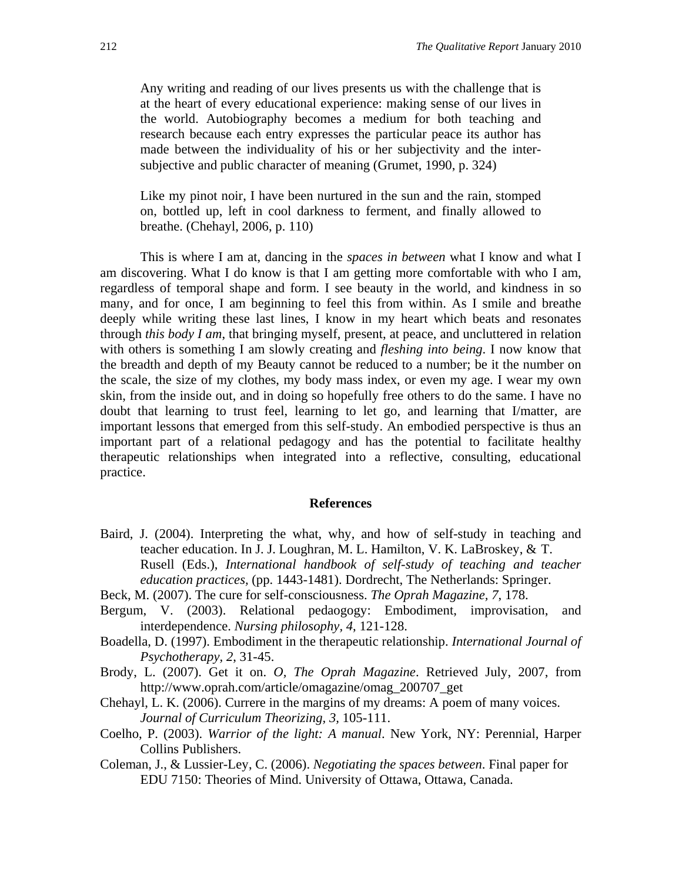Any writing and reading of our lives presents us with the challenge that is at the heart of every educational experience: making sense of our lives in the world. Autobiography becomes a medium for both teaching and research because each entry expresses the particular peace its author has made between the individuality of his or her subjectivity and the intersubjective and public character of meaning (Grumet, 1990, p. 324)

Like my pinot noir, I have been nurtured in the sun and the rain, stomped on, bottled up, left in cool darkness to ferment, and finally allowed to breathe. (Chehayl, 2006, p. 110)

 This is where I am at, dancing in the *spaces in between* what I know and what I am discovering. What I do know is that I am getting more comfortable with who I am, regardless of temporal shape and form. I see beauty in the world, and kindness in so many, and for once, I am beginning to feel this from within. As I smile and breathe deeply while writing these last lines, I know in my heart which beats and resonates through *this body I am*, that bringing myself, present, at peace, and uncluttered in relation with others is something I am slowly creating and *fleshing into being*. I now know that the breadth and depth of my Beauty cannot be reduced to a number; be it the number on the scale, the size of my clothes, my body mass index, or even my age. I wear my own skin, from the inside out, and in doing so hopefully free others to do the same. I have no doubt that learning to trust feel, learning to let go, and learning that I/matter, are important lessons that emerged from this self-study. An embodied perspective is thus an important part of a relational pedagogy and has the potential to facilitate healthy therapeutic relationships when integrated into a reflective, consulting, educational practice.

#### **References**

- Baird, J. (2004). Interpreting the what, why, and how of self-study in teaching and teacher education. In J. J. Loughran, M. L. Hamilton, V. K. LaBroskey, & T. Rusell (Eds.), *International handbook of self-study of teaching and teacher education practices,* (pp. 1443-1481). Dordrecht, The Netherlands: Springer.
- Beck, M. (2007). The cure for self-consciousness. *The Oprah Magazine, 7*, 178.
- Bergum, V. (2003). Relational pedaogogy: Embodiment, improvisation, and interdependence. *Nursing philosophy, 4*, 121-128.
- Boadella, D. (1997). Embodiment in the therapeutic relationship. *International Journal of Psychotherapy, 2*, 31-45.
- Brody, L. (2007). Get it on. *O, The Oprah Magazine*. Retrieved July, 2007, from http://www.oprah.com/article/omagazine/omag\_200707\_get
- Chehayl, L. K. (2006). Currere in the margins of my dreams: A poem of many voices. *Journal of Curriculum Theorizing, 3,* 105-111.
- Coelho, P. (2003). *Warrior of the light: A manual*. New York, NY: Perennial, Harper Collins Publishers.
- Coleman, J., & Lussier-Ley, C. (2006). *Negotiating the spaces between*. Final paper for EDU 7150: Theories of Mind. University of Ottawa, Ottawa, Canada.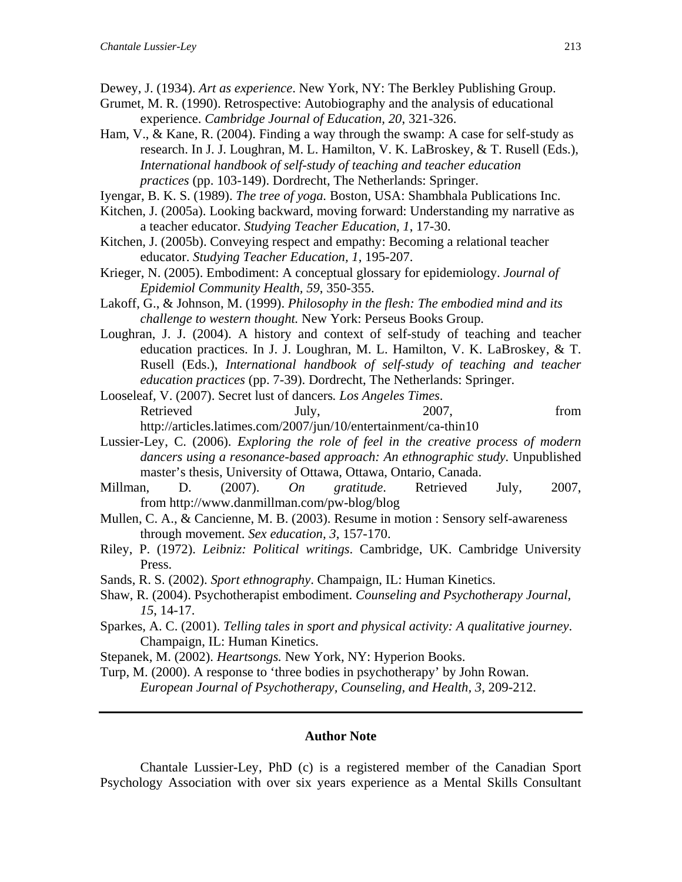- Dewey, J. (1934). *Art as experience*. New York, NY: The Berkley Publishing Group.
- Grumet, M. R. (1990). Retrospective: Autobiography and the analysis of educational experience. *Cambridge Journal of Education, 20*, 321-326.
- Ham, V., & Kane, R. (2004). Finding a way through the swamp: A case for self-study as research. In J. J. Loughran, M. L. Hamilton, V. K. LaBroskey, & T. Rusell (Eds.), *International handbook of self-study of teaching and teacher education practices* (pp. 103-149). Dordrecht, The Netherlands: Springer.
- Iyengar, B. K. S. (1989). *The tree of yoga.* Boston, USA: Shambhala Publications Inc.
- Kitchen, J. (2005a). Looking backward, moving forward: Understanding my narrative as a teacher educator. *Studying Teacher Education, 1*, 17-30.
- Kitchen, J. (2005b). Conveying respect and empathy: Becoming a relational teacher educator. *Studying Teacher Education, 1*, 195-207.
- Krieger, N. (2005). Embodiment: A conceptual glossary for epidemiology. *Journal of Epidemiol Community Health, 59*, 350-355.
- Lakoff, G., & Johnson, M. (1999). *Philosophy in the flesh: The embodied mind and its challenge to western thought.* New York: Perseus Books Group.
- Loughran, J. J. (2004). A history and context of self-study of teaching and teacher education practices. In J. J. Loughran, M. L. Hamilton, V. K. LaBroskey, & T. Rusell (Eds.), *International handbook of self-study of teaching and teacher education practices* (pp. 7-39). Dordrecht, The Netherlands: Springer.
- Looseleaf, V. (2007). Secret lust of dancers*. Los Angeles Times*. Retrieved July, 2007, from http://articles.latimes.com/2007/jun/10/entertainment/ca-thin10
- Lussier-Ley, C. (2006). *Exploring the role of feel in the creative process of modern dancers using a resonance-based approach: An ethnographic study.* Unpublished master's thesis, University of Ottawa, Ottawa, Ontario, Canada.
- Millman, D. (2007). *On gratitude*. Retrieved July, 2007, from http://www.danmillman.com/pw-blog/blog
- Mullen, C. A., & Cancienne, M. B. (2003). Resume in motion : Sensory self-awareness through movement. *Sex education, 3*, 157-170.
- Riley, P. (1972). *Leibniz: Political writings*. Cambridge, UK. Cambridge University Press.
- Sands, R. S. (2002). *Sport ethnography*. Champaign, IL: Human Kinetics.
- Shaw, R. (2004). Psychotherapist embodiment. *Counseling and Psychotherapy Journal, 15*, 14-17.
- Sparkes, A. C. (2001). *Telling tales in sport and physical activity: A qualitative journey*. Champaign, IL: Human Kinetics.
- Stepanek, M. (2002). *Heartsongs.* New York, NY: Hyperion Books.
- Turp, M. (2000). A response to 'three bodies in psychotherapy' by John Rowan. *European Journal of Psychotherapy, Counseling, and Health, 3*, 209-212.

#### **Author Note**

Chantale Lussier-Ley, PhD (c) is a registered member of the Canadian Sport Psychology Association with over six years experience as a Mental Skills Consultant